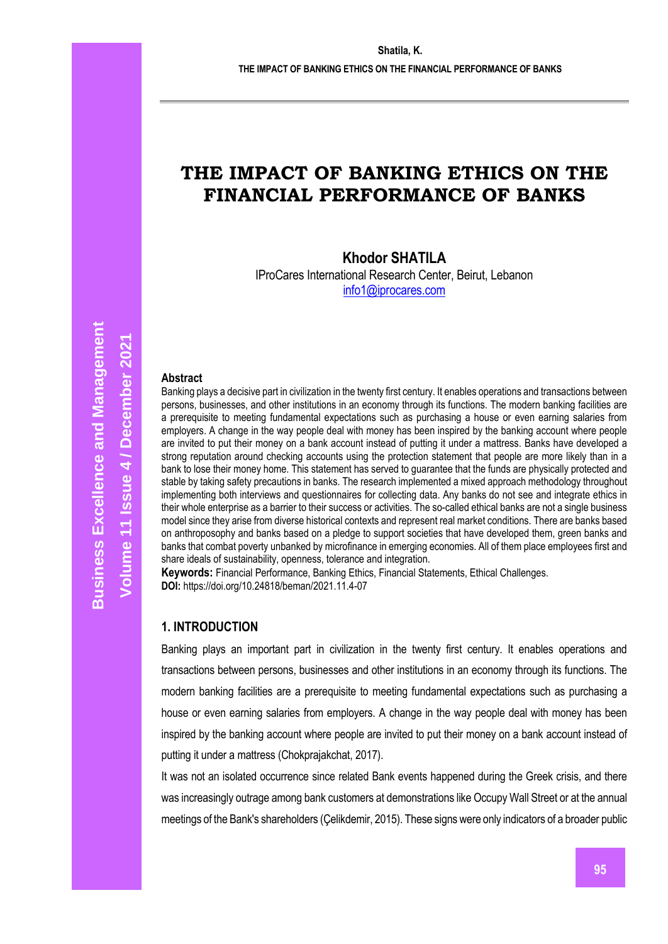# **THE IMPACT OF BANKING ETHICS ON THE FINANCIAL PERFORMANCE OF BANKS**

# **Khodor SHATILA**

IProCares International Research Center, Beirut, Lebanon [info1@iprocares.com](mailto:info1@iprocares.com)

#### **Abstract**

Banking plays a decisive part in civilization in the twenty first century. It enables operations and transactions between persons, businesses, and other institutions in an economy through its functions. The modern banking facilities are a prerequisite to meeting fundamental expectations such as purchasing a house or even earning salaries from employers. A change in the way people deal with money has been inspired by the banking account where people are invited to put their money on a bank account instead of putting it under a mattress. Banks have developed a strong reputation around checking accounts using the protection statement that people are more likely than in a bank to lose their money home. This statement has served to guarantee that the funds are physically protected and stable by taking safety precautions in banks. The research implemented a mixed approach methodology throughout implementing both interviews and questionnaires for collecting data. Any banks do not see and integrate ethics in their whole enterprise as a barrier to their success or activities. The so-called ethical banks are not a single business model since they arise from diverse historical contexts and represent real market conditions. There are banks based on anthroposophy and banks based on a pledge to support societies that have developed them, green banks and banks that combat poverty unbanked by microfinance in emerging economies. All of them place employees first and share ideals of sustainability, openness, tolerance and integration.

**Keywords:** Financial Performance, Banking Ethics, Financial Statements, Ethical Challenges. **DOI:** https://doi.org/10.24818/beman/2021.11.4-07

#### **1. INTRODUCTION**

Banking plays an important part in civilization in the twenty first century. It enables operations and transactions between persons, businesses and other institutions in an economy through its functions. The modern banking facilities are a prerequisite to meeting fundamental expectations such as purchasing a house or even earning salaries from employers. A change in the way people deal with money has been inspired by the banking account where people are invited to put their money on a bank account instead of putting it under a mattress (Chokprajakchat, 2017).

It was not an isolated occurrence since related Bank events happened during the Greek crisis, and there was increasingly outrage among bank customers at demonstrations like Occupy Wall Street or at the annual meetings of the Bank's shareholders (Çelikdemir, 2015). These signs were only indicators of a broader public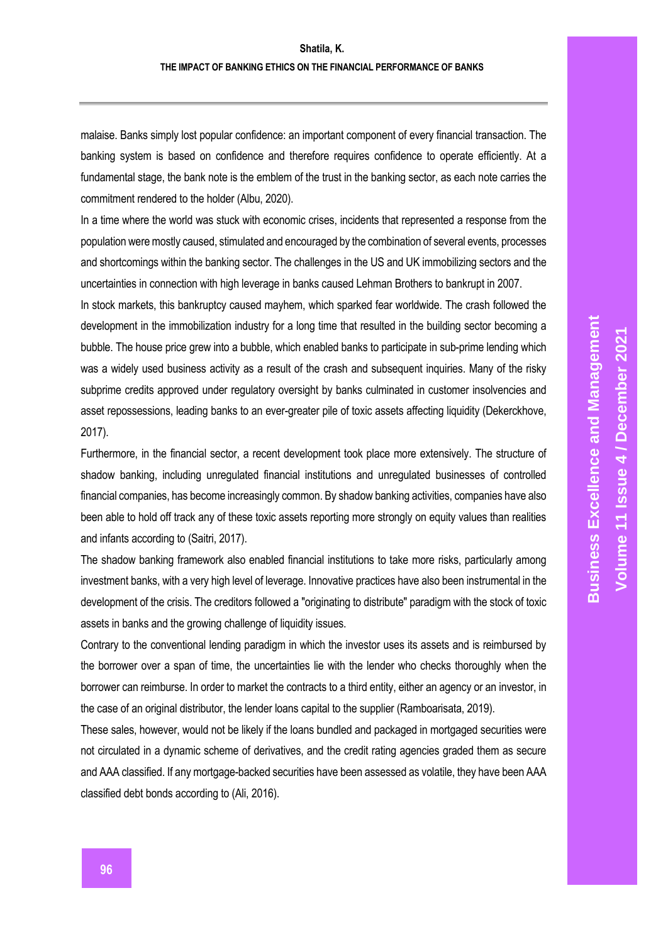malaise. Banks simply lost popular confidence: an important component of every financial transaction. The banking system is based on confidence and therefore requires confidence to operate efficiently. At a fundamental stage, the bank note is the emblem of the trust in the banking sector, as each note carries the commitment rendered to the holder (Albu, 2020).

In a time where the world was stuck with economic crises, incidents that represented a response from the population were mostly caused, stimulated and encouraged by the combination of several events, processes and shortcomings within the banking sector. The challenges in the US and UK immobilizing sectors and the uncertainties in connection with high leverage in banks caused Lehman Brothers to bankrupt in 2007.

In stock markets, this bankruptcy caused mayhem, which sparked fear worldwide. The crash followed the development in the immobilization industry for a long time that resulted in the building sector becoming a bubble. The house price grew into a bubble, which enabled banks to participate in sub-prime lending which was a widely used business activity as a result of the crash and subsequent inquiries. Many of the risky subprime credits approved under regulatory oversight by banks culminated in customer insolvencies and asset repossessions, leading banks to an ever-greater pile of toxic assets affecting liquidity (Dekerckhove, 2017).

Furthermore, in the financial sector, a recent development took place more extensively. The structure of shadow banking, including unregulated financial institutions and unregulated businesses of controlled financial companies, has become increasingly common. By shadow banking activities, companies have also been able to hold off track any of these toxic assets reporting more strongly on equity values than realities and infants according to (Saitri, 2017).

The shadow banking framework also enabled financial institutions to take more risks, particularly among investment banks, with a very high level of leverage. Innovative practices have also been instrumental in the development of the crisis. The creditors followed a "originating to distribute" paradigm with the stock of toxic assets in banks and the growing challenge of liquidity issues.

Contrary to the conventional lending paradigm in which the investor uses its assets and is reimbursed by the borrower over a span of time, the uncertainties lie with the lender who checks thoroughly when the borrower can reimburse. In order to market the contracts to a third entity, either an agency or an investor, in the case of an original distributor, the lender loans capital to the supplier (Ramboarisata, 2019).

These sales, however, would not be likely if the loans bundled and packaged in mortgaged securities were not circulated in a dynamic scheme of derivatives, and the credit rating agencies graded them as secure and AAA classified. If any mortgage-backed securities have been assessed as volatile, they have been AAA classified debt bonds according to (Ali, 2016).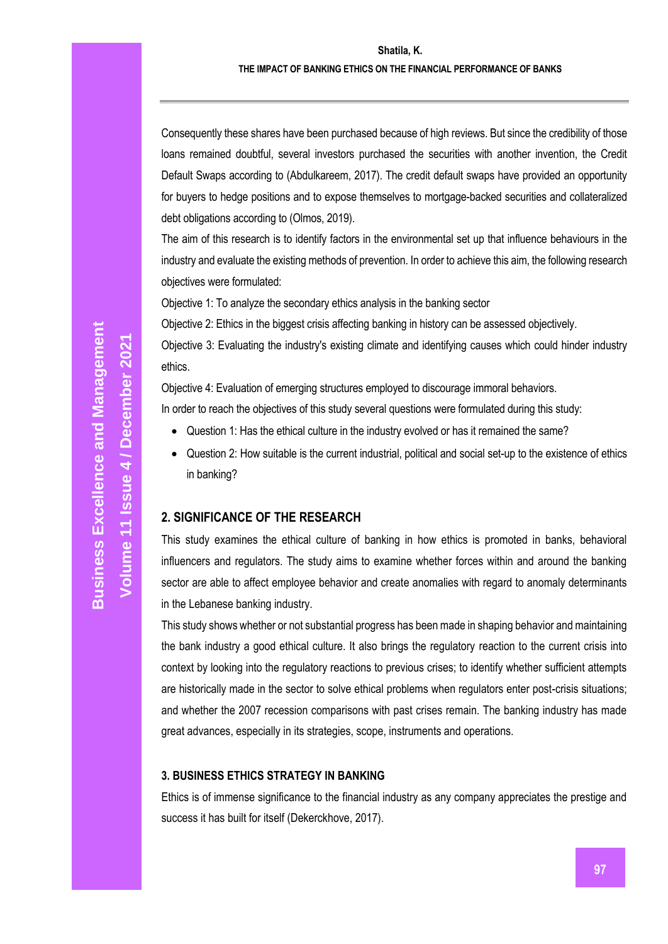#### **THE IMPACT OF BANKING ETHICS ON THE FINANCIAL PERFORMANCE OF BANKS**

Consequently these shares have been purchased because of high reviews. But since the credibility of those loans remained doubtful, several investors purchased the securities with another invention, the Credit Default Swaps according to (Abdulkareem, 2017). The credit default swaps have provided an opportunity for buyers to hedge positions and to expose themselves to mortgage-backed securities and collateralized debt obligations according to (Olmos, 2019).

The aim of this research is to identify factors in the environmental set up that influence behaviours in the industry and evaluate the existing methods of prevention. In order to achieve this aim, the following research objectives were formulated:

Objective 1: To analyze the secondary ethics analysis in the banking sector

Objective 2: Ethics in the biggest crisis affecting banking in history can be assessed objectively.

Objective 3: Evaluating the industry's existing climate and identifying causes which could hinder industry ethics.

Objective 4: Evaluation of emerging structures employed to discourage immoral behaviors. In order to reach the objectives of this study several questions were formulated during this study:

- Question 1: Has the ethical culture in the industry evolved or has it remained the same?
- Question 2: How suitable is the current industrial, political and social set-up to the existence of ethics in banking?

#### **2. SIGNIFICANCE OF THE RESEARCH**

This study examines the ethical culture of banking in how ethics is promoted in banks, behavioral influencers and regulators. The study aims to examine whether forces within and around the banking sector are able to affect employee behavior and create anomalies with regard to anomaly determinants in the Lebanese banking industry.

This study shows whether or not substantial progress has been made in shaping behavior and maintaining the bank industry a good ethical culture. It also brings the regulatory reaction to the current crisis into context by looking into the regulatory reactions to previous crises; to identify whether sufficient attempts are historically made in the sector to solve ethical problems when regulators enter post-crisis situations; and whether the 2007 recession comparisons with past crises remain. The banking industry has made great advances, especially in its strategies, scope, instruments and operations.

#### **3. BUSINESS ETHICS STRATEGY IN BANKING**

Ethics is of immense significance to the financial industry as any company appreciates the prestige and success it has built for itself (Dekerckhove, 2017).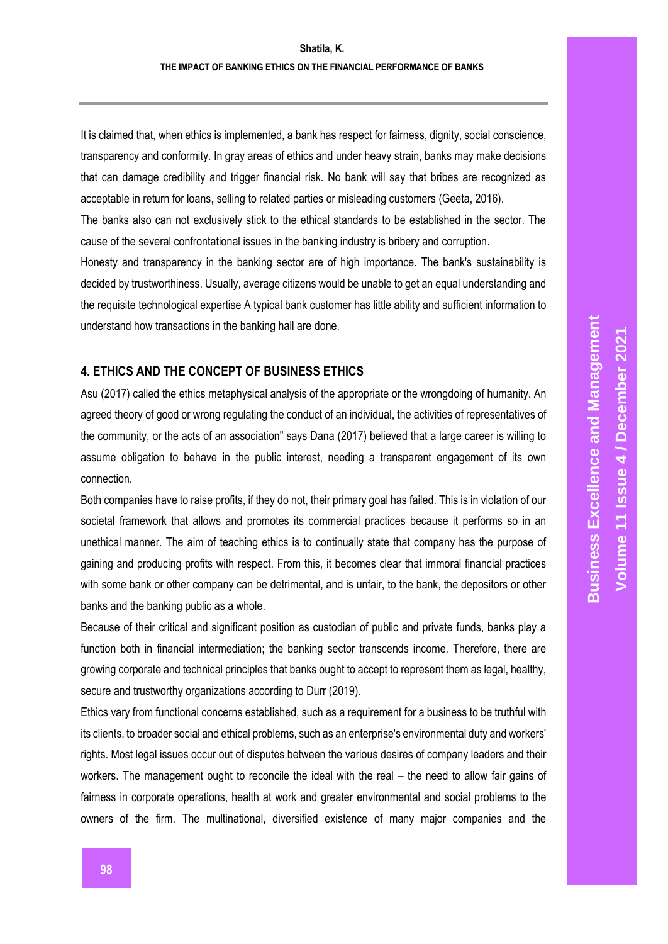It is claimed that, when ethics is implemented, a bank has respect for fairness, dignity, social conscience, transparency and conformity. In gray areas of ethics and under heavy strain, banks may make decisions that can damage credibility and trigger financial risk. No bank will say that bribes are recognized as acceptable in return for loans, selling to related parties or misleading customers (Geeta, 2016).

The banks also can not exclusively stick to the ethical standards to be established in the sector. The cause of the several confrontational issues in the banking industry is bribery and corruption.

Honesty and transparency in the banking sector are of high importance. The bank's sustainability is decided by trustworthiness. Usually, average citizens would be unable to get an equal understanding and the requisite technological expertise A typical bank customer has little ability and sufficient information to understand how transactions in the banking hall are done.

#### **4. ETHICS AND THE CONCEPT OF BUSINESS ETHICS**

Asu (2017) called the ethics metaphysical analysis of the appropriate or the wrongdoing of humanity. An agreed theory of good or wrong regulating the conduct of an individual, the activities of representatives of the community, or the acts of an association" says Dana (2017) believed that a large career is willing to assume obligation to behave in the public interest, needing a transparent engagement of its own connection.

Both companies have to raise profits, if they do not, their primary goal has failed. This is in violation of our societal framework that allows and promotes its commercial practices because it performs so in an unethical manner. The aim of teaching ethics is to continually state that company has the purpose of gaining and producing profits with respect. From this, it becomes clear that immoral financial practices with some bank or other company can be detrimental, and is unfair, to the bank, the depositors or other banks and the banking public as a whole.

Because of their critical and significant position as custodian of public and private funds, banks play a function both in financial intermediation; the banking sector transcends income. Therefore, there are growing corporate and technical principles that banks ought to accept to represent them as legal, healthy, secure and trustworthy organizations according to Durr (2019).

Ethics vary from functional concerns established, such as a requirement for a business to be truthful with its clients, to broader social and ethical problems, such as an enterprise's environmental duty and workers' rights. Most legal issues occur out of disputes between the various desires of company leaders and their workers. The management ought to reconcile the ideal with the real – the need to allow fair gains of fairness in corporate operations, health at work and greater environmental and social problems to the owners of the firm. The multinational, diversified existence of many major companies and the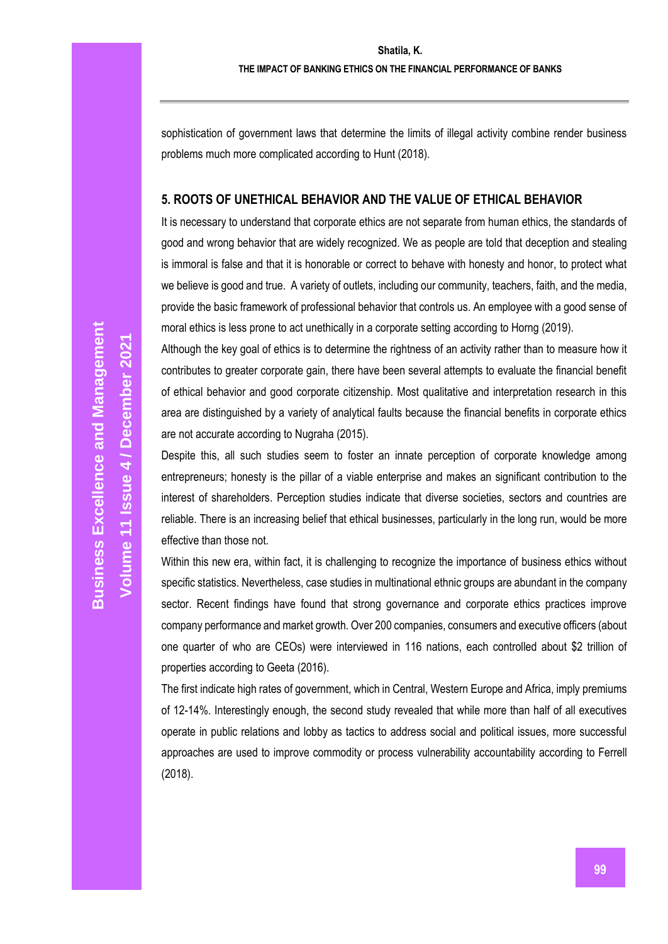sophistication of government laws that determine the limits of illegal activity combine render business problems much more complicated according to Hunt (2018).

#### **5. ROOTS OF UNETHICAL BEHAVIOR AND THE VALUE OF ETHICAL BEHAVIOR**

It is necessary to understand that corporate ethics are not separate from human ethics, the standards of good and wrong behavior that are widely recognized. We as people are told that deception and stealing is immoral is false and that it is honorable or correct to behave with honesty and honor, to protect what we believe is good and true. A variety of outlets, including our community, teachers, faith, and the media, provide the basic framework of professional behavior that controls us. An employee with a good sense of moral ethics is less prone to act unethically in a corporate setting according to Horng (2019).

Although the key goal of ethics is to determine the rightness of an activity rather than to measure how it contributes to greater corporate gain, there have been several attempts to evaluate the financial benefit of ethical behavior and good corporate citizenship. Most qualitative and interpretation research in this area are distinguished by a variety of analytical faults because the financial benefits in corporate ethics are not accurate according to Nugraha (2015).

Despite this, all such studies seem to foster an innate perception of corporate knowledge among entrepreneurs; honesty is the pillar of a viable enterprise and makes an significant contribution to the interest of shareholders. Perception studies indicate that diverse societies, sectors and countries are reliable. There is an increasing belief that ethical businesses, particularly in the long run, would be more effective than those not.

Within this new era, within fact, it is challenging to recognize the importance of business ethics without specific statistics. Nevertheless, case studies in multinational ethnic groups are abundant in the company sector. Recent findings have found that strong governance and corporate ethics practices improve company performance and market growth. Over 200 companies, consumers and executive officers (about one quarter of who are CEOs) were interviewed in 116 nations, each controlled about \$2 trillion of properties according to Geeta (2016).

The first indicate high rates of government, which in Central, Western Europe and Africa, imply premiums of 12-14%. Interestingly enough, the second study revealed that while more than half of all executives operate in public relations and lobby as tactics to address social and political issues, more successful approaches are used to improve commodity or process vulnerability accountability according to Ferrell (2018).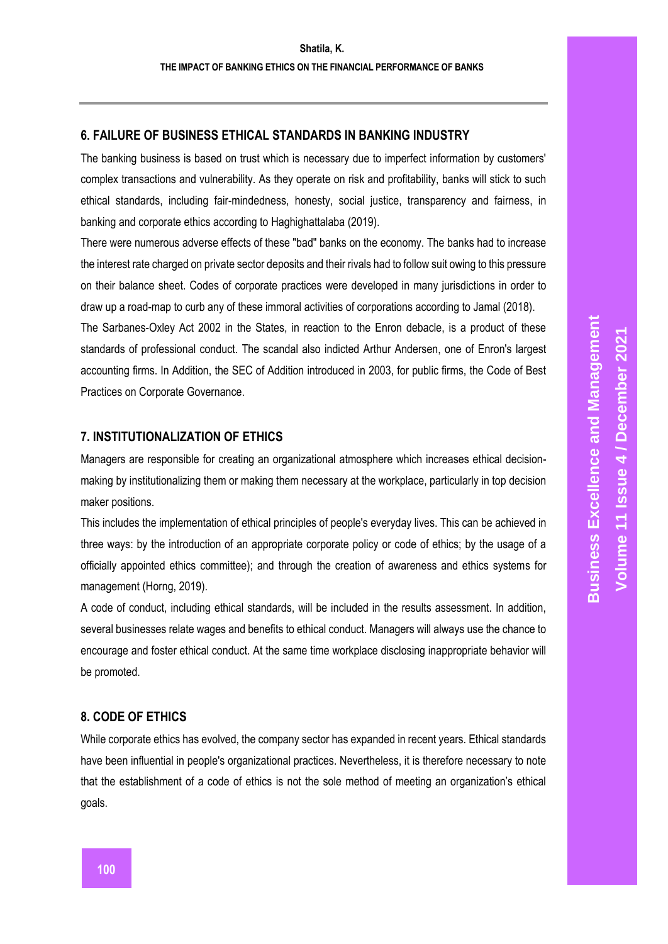## **6. FAILURE OF BUSINESS ETHICAL STANDARDS IN BANKING INDUSTRY**

The banking business is based on trust which is necessary due to imperfect information by customers' complex transactions and vulnerability. As they operate on risk and profitability, banks will stick to such ethical standards, including fair-mindedness, honesty, social justice, transparency and fairness, in banking and corporate ethics according to Haghighattalaba (2019).

There were numerous adverse effects of these "bad" banks on the economy. The banks had to increase the interest rate charged on private sector deposits and their rivals had to follow suit owing to this pressure on their balance sheet. Codes of corporate practices were developed in many jurisdictions in order to draw up a road-map to curb any of these immoral activities of corporations according to Jamal (2018).

The Sarbanes-Oxley Act 2002 in the States, in reaction to the Enron debacle, is a product of these standards of professional conduct. The scandal also indicted Arthur Andersen, one of Enron's largest accounting firms. In Addition, the SEC of Addition introduced in 2003, for public firms, the Code of Best Practices on Corporate Governance.

#### **7. INSTITUTIONALIZATION OF ETHICS**

Managers are responsible for creating an organizational atmosphere which increases ethical decisionmaking by institutionalizing them or making them necessary at the workplace, particularly in top decision maker positions.

This includes the implementation of ethical principles of people's everyday lives. This can be achieved in three ways: by the introduction of an appropriate corporate policy or code of ethics; by the usage of a officially appointed ethics committee); and through the creation of awareness and ethics systems for management (Horng, 2019).

A code of conduct, including ethical standards, will be included in the results assessment. In addition, several businesses relate wages and benefits to ethical conduct. Managers will always use the chance to encourage and foster ethical conduct. At the same time workplace disclosing inappropriate behavior will be promoted.

## **8. CODE OF ETHICS**

While corporate ethics has evolved, the company sector has expanded in recent years. Ethical standards have been influential in people's organizational practices. Nevertheless, it is therefore necessary to note that the establishment of a code of ethics is not the sole method of meeting an organization's ethical goals.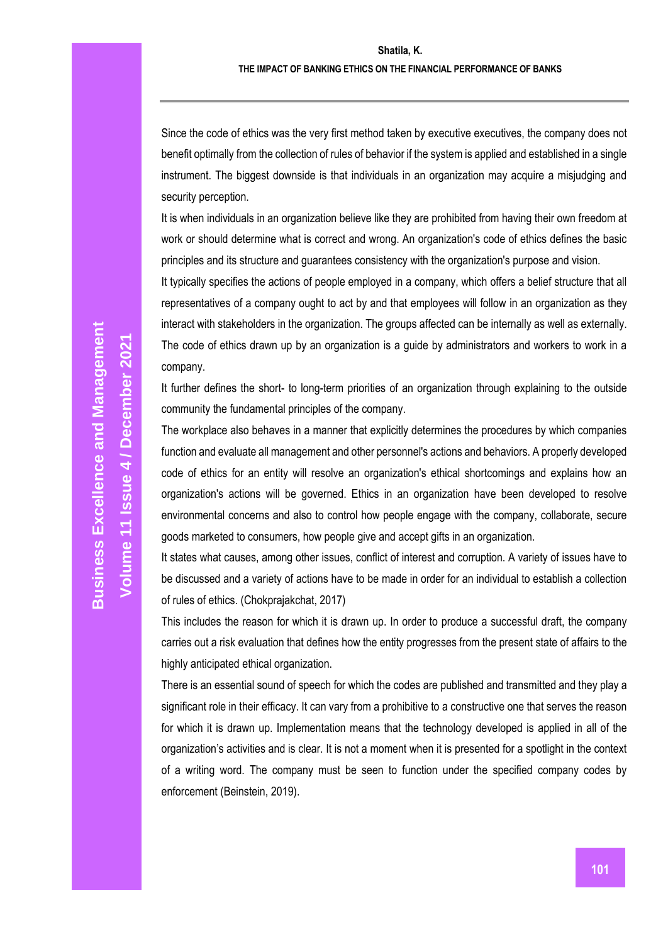#### **THE IMPACT OF BANKING ETHICS ON THE FINANCIAL PERFORMANCE OF BANKS**

Since the code of ethics was the very first method taken by executive executives, the company does not benefit optimally from the collection of rules of behavior if the system is applied and established in a single instrument. The biggest downside is that individuals in an organization may acquire a misjudging and security perception.

It is when individuals in an organization believe like they are prohibited from having their own freedom at work or should determine what is correct and wrong. An organization's code of ethics defines the basic principles and its structure and guarantees consistency with the organization's purpose and vision.

It typically specifies the actions of people employed in a company, which offers a belief structure that all representatives of a company ought to act by and that employees will follow in an organization as they interact with stakeholders in the organization. The groups affected can be internally as well as externally. The code of ethics drawn up by an organization is a guide by administrators and workers to work in a company.

It further defines the short- to long-term priorities of an organization through explaining to the outside community the fundamental principles of the company.

The workplace also behaves in a manner that explicitly determines the procedures by which companies function and evaluate all management and other personnel's actions and behaviors. A properly developed code of ethics for an entity will resolve an organization's ethical shortcomings and explains how an organization's actions will be governed. Ethics in an organization have been developed to resolve environmental concerns and also to control how people engage with the company, collaborate, secure goods marketed to consumers, how people give and accept gifts in an organization.

It states what causes, among other issues, conflict of interest and corruption. A variety of issues have to be discussed and a variety of actions have to be made in order for an individual to establish a collection of rules of ethics. (Chokprajakchat, 2017)

This includes the reason for which it is drawn up. In order to produce a successful draft, the company carries out a risk evaluation that defines how the entity progresses from the present state of affairs to the highly anticipated ethical organization.

There is an essential sound of speech for which the codes are published and transmitted and they play a significant role in their efficacy. It can vary from a prohibitive to a constructive one that serves the reason for which it is drawn up. Implementation means that the technology developed is applied in all of the organization's activities and is clear. It is not a moment when it is presented for a spotlight in the context of a writing word. The company must be seen to function under the specified company codes by enforcement (Beinstein, 2019).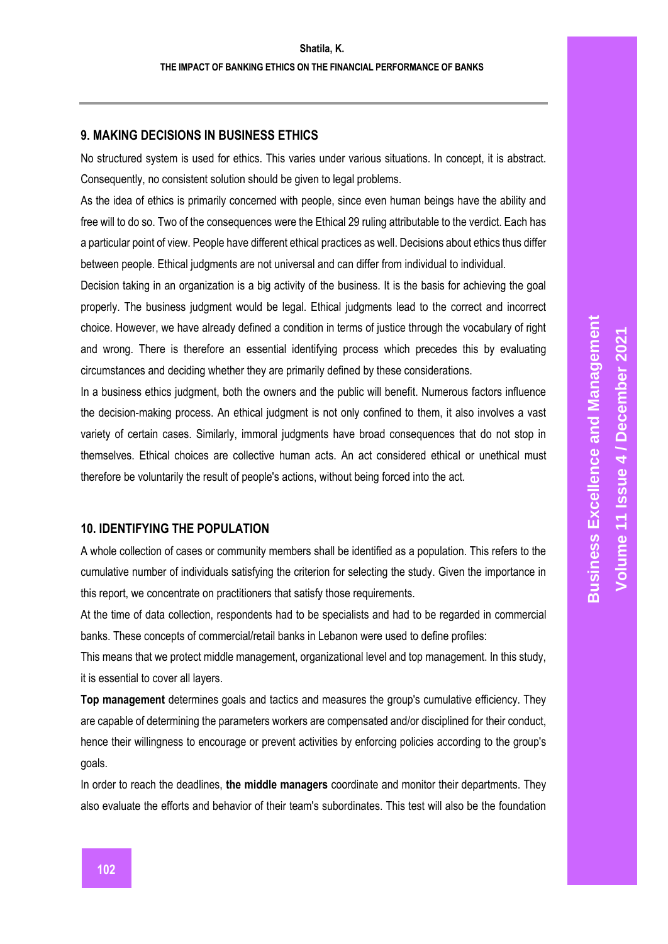## **9. MAKING DECISIONS IN BUSINESS ETHICS**

No structured system is used for ethics. This varies under various situations. In concept, it is abstract. Consequently, no consistent solution should be given to legal problems.

As the idea of ethics is primarily concerned with people, since even human beings have the ability and free will to do so. Two of the consequences were the Ethical 29 ruling attributable to the verdict. Each has a particular point of view. People have different ethical practices as well. Decisions about ethics thus differ between people. Ethical judgments are not universal and can differ from individual to individual.

Decision taking in an organization is a big activity of the business. It is the basis for achieving the goal properly. The business judgment would be legal. Ethical judgments lead to the correct and incorrect choice. However, we have already defined a condition in terms of justice through the vocabulary of right and wrong. There is therefore an essential identifying process which precedes this by evaluating circumstances and deciding whether they are primarily defined by these considerations.

In a business ethics judgment, both the owners and the public will benefit. Numerous factors influence the decision-making process. An ethical judgment is not only confined to them, it also involves a vast variety of certain cases. Similarly, immoral judgments have broad consequences that do not stop in themselves. Ethical choices are collective human acts. An act considered ethical or unethical must therefore be voluntarily the result of people's actions, without being forced into the act.

#### **10. IDENTIFYING THE POPULATION**

A whole collection of cases or community members shall be identified as a population. This refers to the cumulative number of individuals satisfying the criterion for selecting the study. Given the importance in this report, we concentrate on practitioners that satisfy those requirements.

At the time of data collection, respondents had to be specialists and had to be regarded in commercial banks. These concepts of commercial/retail banks in Lebanon were used to define profiles:

This means that we protect middle management, organizational level and top management. In this study, it is essential to cover all layers.

**Top management** determines goals and tactics and measures the group's cumulative efficiency. They are capable of determining the parameters workers are compensated and/or disciplined for their conduct, hence their willingness to encourage or prevent activities by enforcing policies according to the group's goals.

In order to reach the deadlines, **the middle managers** coordinate and monitor their departments. They also evaluate the efforts and behavior of their team's subordinates. This test will also be the foundation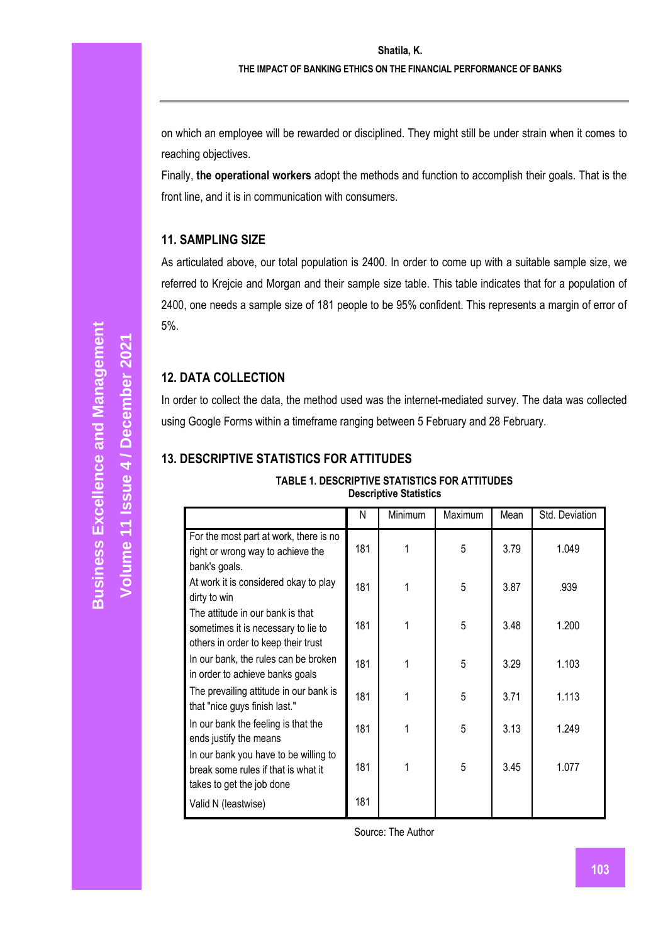on which an employee will be rewarded or disciplined. They might still be under strain when it comes to reaching objectives.

Finally, **the operational workers** adopt the methods and function to accomplish their goals. That is the front line, and it is in communication with consumers.

## **11. SAMPLING SIZE**

As articulated above, our total population is 2400. In order to come up with a suitable sample size, we referred to Krejcie and Morgan and their sample size table. This table indicates that for a population of 2400, one needs a sample size of 181 people to be 95% confident. This represents a margin of error of 5%.

#### **12. DATA COLLECTION**

In order to collect the data, the method used was the internet-mediated survey. The data was collected using Google Forms within a timeframe ranging between 5 February and 28 February.

## **13. DESCRIPTIVE STATISTICS FOR ATTITUDES**

| <b>TABLE 1. DESCRIPTIVE STATISTICS FOR ATTITUDES</b> |
|------------------------------------------------------|
| <b>Descriptive Statistics</b>                        |

|                                                                                                                | N   | Minimum | Maximum | Mean | Std. Deviation |
|----------------------------------------------------------------------------------------------------------------|-----|---------|---------|------|----------------|
| For the most part at work, there is no<br>right or wrong way to achieve the<br>bank's goals.                   | 181 |         | 5       | 3.79 | 1.049          |
| At work it is considered okay to play<br>dirty to win                                                          | 181 |         | 5       | 3.87 | .939           |
| The attitude in our bank is that<br>sometimes it is necessary to lie to<br>others in order to keep their trust | 181 |         | 5       | 3.48 | 1.200          |
| In our bank, the rules can be broken<br>in order to achieve banks goals                                        | 181 |         | 5       | 3.29 | 1.103          |
| The prevailing attitude in our bank is<br>that "nice guys finish last."                                        | 181 |         | 5       | 3.71 | 1.113          |
| In our bank the feeling is that the<br>ends justify the means                                                  | 181 |         | 5       | 3.13 | 1.249          |
| In our bank you have to be willing to<br>break some rules if that is what it<br>takes to get the job done      | 181 |         | 5       | 3.45 | 1.077          |
| Valid N (leastwise)                                                                                            | 181 |         |         |      |                |

Source: The Author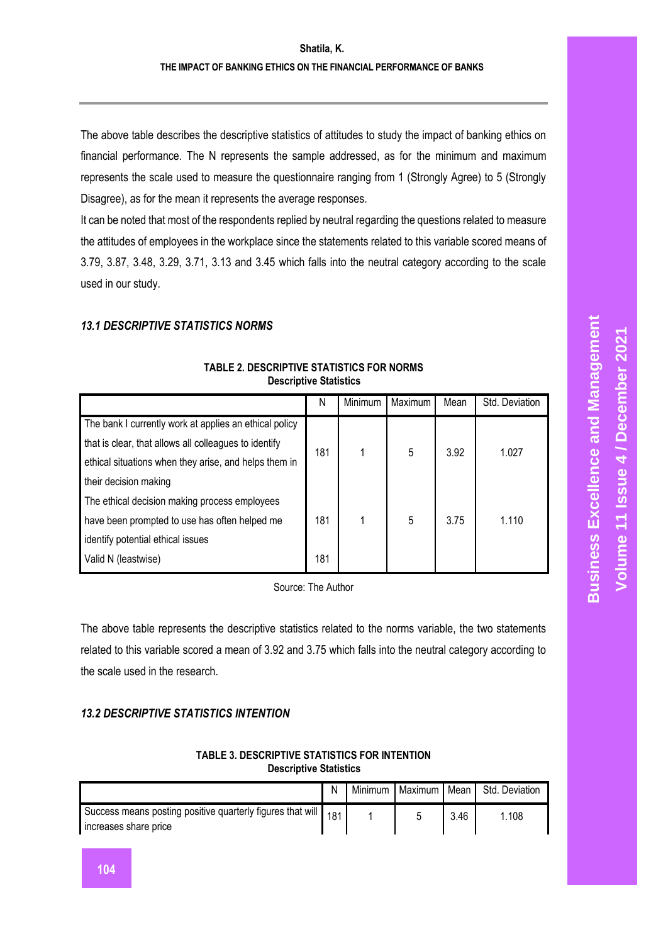The above table describes the descriptive statistics of attitudes to study the impact of banking ethics on financial performance. The N represents the sample addressed, as for the minimum and maximum represents the scale used to measure the questionnaire ranging from 1 (Strongly Agree) to 5 (Strongly Disagree), as for the mean it represents the average responses.

It can be noted that most of the respondents replied by neutral regarding the questions related to measure the attitudes of employees in the workplace since the statements related to this variable scored means of 3.79, 3.87, 3.48, 3.29, 3.71, 3.13 and 3.45 which falls into the neutral category according to the scale used in our study.

## *13.1 DESCRIPTIVE STATISTICS NORMS*

|                                                        | N   | Minimum | Maximum | Mean | Std. Deviation |
|--------------------------------------------------------|-----|---------|---------|------|----------------|
| The bank I currently work at applies an ethical policy |     |         |         |      |                |
| that is clear, that allows all colleagues to identify  | 181 |         | 5       | 3.92 | 1.027          |
| ethical situations when they arise, and helps them in  |     |         |         |      |                |
| their decision making                                  |     |         |         |      |                |
| The ethical decision making process employees          |     |         |         |      |                |
| have been prompted to use has often helped me          |     |         | 5       | 3.75 | 1.110          |
| identify potential ethical issues                      |     |         |         |      |                |
| Valid N (leastwise)                                    | 181 |         |         |      |                |

#### **TABLE 2. DESCRIPTIVE STATISTICS FOR NORMS Descriptive Statistics**

Source: The Author

The above table represents the descriptive statistics related to the norms variable, the two statements related to this variable scored a mean of 3.92 and 3.75 which falls into the neutral category according to the scale used in the research.

# *13.2 DESCRIPTIVE STATISTICS INTENTION*

#### **TABLE 3. DESCRIPTIVE STATISTICS FOR INTENTION Descriptive Statistics**

|                                                                                         | Ν | Minimum | Maximum I | Mean | Std. Deviation |
|-----------------------------------------------------------------------------------------|---|---------|-----------|------|----------------|
| Success means posting positive quarterly figures that will 181<br>increases share price |   |         |           | 3.46 | 108            |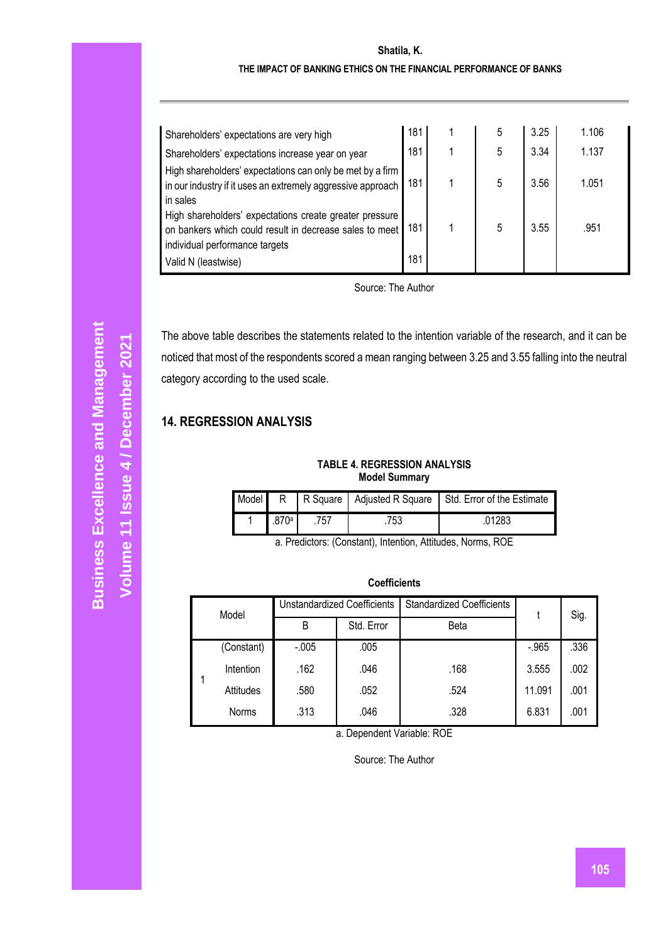#### **Shatila, K.**

#### **THE IMPACT OF BANKING ETHICS ON THE FINANCIAL PERFORMANCE OF BANKS**

| Shareholders' expectations are very high                                                                                                             | 181 | 5 | 3.25 | 1.106 |
|------------------------------------------------------------------------------------------------------------------------------------------------------|-----|---|------|-------|
| Shareholders' expectations increase year on year                                                                                                     | 181 | 5 | 3.34 | 1.137 |
| High shareholders' expectations can only be met by a firm<br>in our industry if it uses an extremely aggressive approach<br>in sales                 | 181 | 5 | 3.56 | 1.051 |
| High shareholders' expectations create greater pressure<br>on bankers which could result in decrease sales to meet<br>individual performance targets | 181 | 5 | 3.55 | .951  |
| Valid N (leastwise)                                                                                                                                  | 181 |   |      |       |

Source: The Author

The above table describes the statements related to the intention variable of the research, and it can be noticed that most of the respondents scored a mean ranging between 3.25 and 3.55 falling into the neutral category according to the used scale.

# **14. REGRESSION ANALYSIS**

**TABLE 4. REGRESSION ANALYSIS Model Summary**

|       |     |     | Model R   R Square   Adjusted R Square   Std. Error of the Estimate |
|-------|-----|-----|---------------------------------------------------------------------|
| .870ª | 757 | 753 | .01283                                                              |

a. Predictors: (Constant), Intention, Attitudes, Norms, ROE

| Model        | <b>Unstandardized Coefficients</b> |            | <b>Standardized Coefficients</b> |         | Sig. |
|--------------|------------------------------------|------------|----------------------------------|---------|------|
|              | B                                  | Std. Error | <b>Beta</b>                      |         |      |
| (Constant)   | $-0.005$                           | .005       |                                  | $-.965$ | .336 |
| Intention    | .162                               | .046       | .168                             | 3.555   | .002 |
| Attitudes    | .580                               | .052       | .524                             | 11.091  | .001 |
| <b>Norms</b> | .313                               | .046       | .328                             | 6.831   | .001 |

**Coefficients**

a. Dependent Variable: ROE

Source: The Author

**Volume 11 Issue** 

**/ December 2021**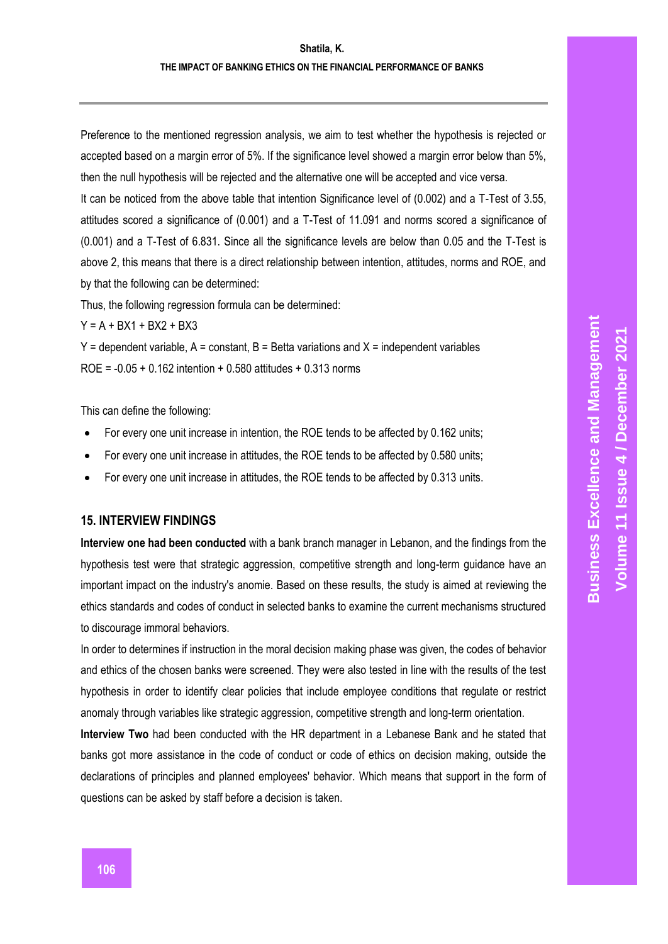Preference to the mentioned regression analysis, we aim to test whether the hypothesis is rejected or accepted based on a margin error of 5%. If the significance level showed a margin error below than 5%, then the null hypothesis will be rejected and the alternative one will be accepted and vice versa.

It can be noticed from the above table that intention Significance level of (0.002) and a T-Test of 3.55, attitudes scored a significance of (0.001) and a T-Test of 11.091 and norms scored a significance of (0.001) and a T-Test of 6.831. Since all the significance levels are below than 0.05 and the T-Test is above 2, this means that there is a direct relationship between intention, attitudes, norms and ROE, and by that the following can be determined:

Thus, the following regression formula can be determined:

 $Y = A + BX1 + BX2 + BX3$ 

 $Y =$  dependent variable,  $A =$  constant,  $B =$  Betta variations and  $X =$  independent variables ROE = -0.05 + 0.162 intention + 0.580 attitudes + 0.313 norms

This can define the following:

- For every one unit increase in intention, the ROE tends to be affected by 0.162 units;
- For every one unit increase in attitudes, the ROE tends to be affected by 0.580 units;
- For every one unit increase in attitudes, the ROE tends to be affected by 0.313 units.

**15. INTERVIEW FINDINGS**

**Interview one had been conducted** with a bank branch manager in Lebanon, and the findings from the hypothesis test were that strategic aggression, competitive strength and long-term guidance have an important impact on the industry's anomie. Based on these results, the study is aimed at reviewing the ethics standards and codes of conduct in selected banks to examine the current mechanisms structured to discourage immoral behaviors.

In order to determines if instruction in the moral decision making phase was given, the codes of behavior and ethics of the chosen banks were screened. They were also tested in line with the results of the test hypothesis in order to identify clear policies that include employee conditions that regulate or restrict anomaly through variables like strategic aggression, competitive strength and long-term orientation.

**Interview Two** had been conducted with the HR department in a Lebanese Bank and he stated that banks got more assistance in the code of conduct or code of ethics on decision making, outside the declarations of principles and planned employees' behavior. Which means that support in the form of questions can be asked by staff before a decision is taken.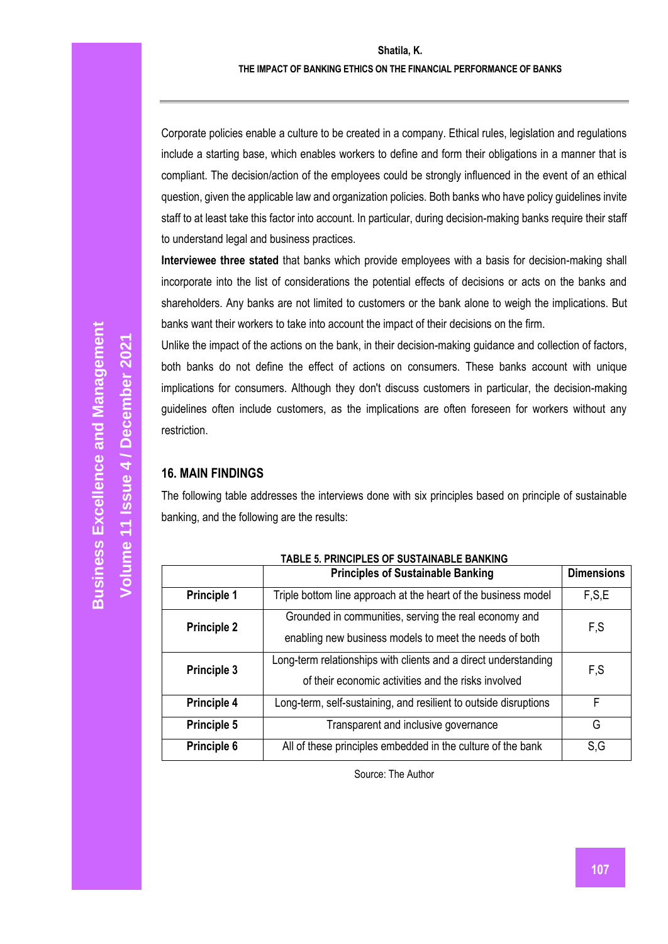Corporate policies enable a culture to be created in a company. Ethical rules, legislation and regulations include a starting base, which enables workers to define and form their obligations in a manner that is compliant. The decision/action of the employees could be strongly influenced in the event of an ethical question, given the applicable law and organization policies. Both banks who have policy guidelines invite staff to at least take this factor into account. In particular, during decision-making banks require their staff to understand legal and business practices.

**Interviewee three stated** that banks which provide employees with a basis for decision-making shall incorporate into the list of considerations the potential effects of decisions or acts on the banks and shareholders. Any banks are not limited to customers or the bank alone to weigh the implications. But banks want their workers to take into account the impact of their decisions on the firm.

Unlike the impact of the actions on the bank, in their decision-making guidance and collection of factors, both banks do not define the effect of actions on consumers. These banks account with unique implications for consumers. Although they don't discuss customers in particular, the decision-making guidelines often include customers, as the implications are often foreseen for workers without any restriction.

## **16. MAIN FINDINGS**

The following table addresses the interviews done with six principles based on principle of sustainable banking, and the following are the results:

|                    | <b>Principles of Sustainable Banking</b>                                                                               | <b>Dimensions</b> |
|--------------------|------------------------------------------------------------------------------------------------------------------------|-------------------|
| <b>Principle 1</b> | Triple bottom line approach at the heart of the business model                                                         | F.S.E             |
| <b>Principle 2</b> | Grounded in communities, serving the real economy and<br>enabling new business models to meet the needs of both        | F.S               |
| <b>Principle 3</b> | Long-term relationships with clients and a direct understanding<br>of their economic activities and the risks involved | F.S               |
| Principle 4        | Long-term, self-sustaining, and resilient to outside disruptions                                                       | F                 |
| Principle 5        | Transparent and inclusive governance                                                                                   | G                 |
| Principle 6        | All of these principles embedded in the culture of the bank                                                            | S,G               |

Source: The Author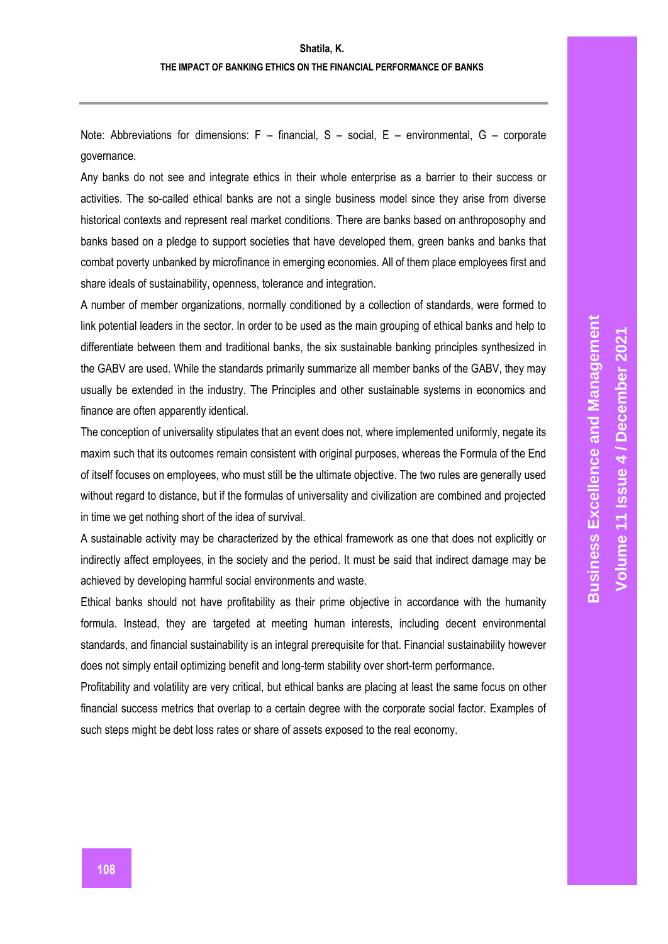Note: Abbreviations for dimensions: F – financial, S – social, E – environmental, G – corporate governance.

Any banks do not see and integrate ethics in their whole enterprise as a barrier to their success or activities. The so-called ethical banks are not a single business model since they arise from diverse historical contexts and represent real market conditions. There are banks based on anthroposophy and banks based on a pledge to support societies that have developed them, green banks and banks that combat poverty unbanked by microfinance in emerging economies. All of them place employees first and share ideals of sustainability, openness, tolerance and integration.

A number of member organizations, normally conditioned by a collection of standards, were formed to link potential leaders in the sector. In order to be used as the main grouping of ethical banks and help to differentiate between them and traditional banks, the six sustainable banking principles synthesized in the GABV are used. While the standards primarily summarize all member banks of the GABV, they may usually be extended in the industry. The Principles and other sustainable systems in economics and finance are often apparently identical.

The conception of universality stipulates that an event does not, where implemented uniformly, negate its maxim such that its outcomes remain consistent with original purposes, whereas the Formula of the End of itself focuses on employees, who must still be the ultimate objective. The two rules are generally used without regard to distance, but if the formulas of universality and civilization are combined and projected in time we get nothing short of the idea of survival.

A sustainable activity may be characterized by the ethical framework as one that does not explicitly or indirectly affect employees, in the society and the period. It must be said that indirect damage may be achieved by developing harmful social environments and waste.

Ethical banks should not have profitability as their prime objective in accordance with the humanity formula. Instead, they are targeted at meeting human interests, including decent environmental standards, and financial sustainability is an integral prerequisite for that. Financial sustainability however does not simply entail optimizing benefit and long-term stability over short-term performance.

Profitability and volatility are very critical, but ethical banks are placing at least the same focus on other financial success metrics that overlap to a certain degree with the corporate social factor. Examples of such steps might be debt loss rates or share of assets exposed to the real economy.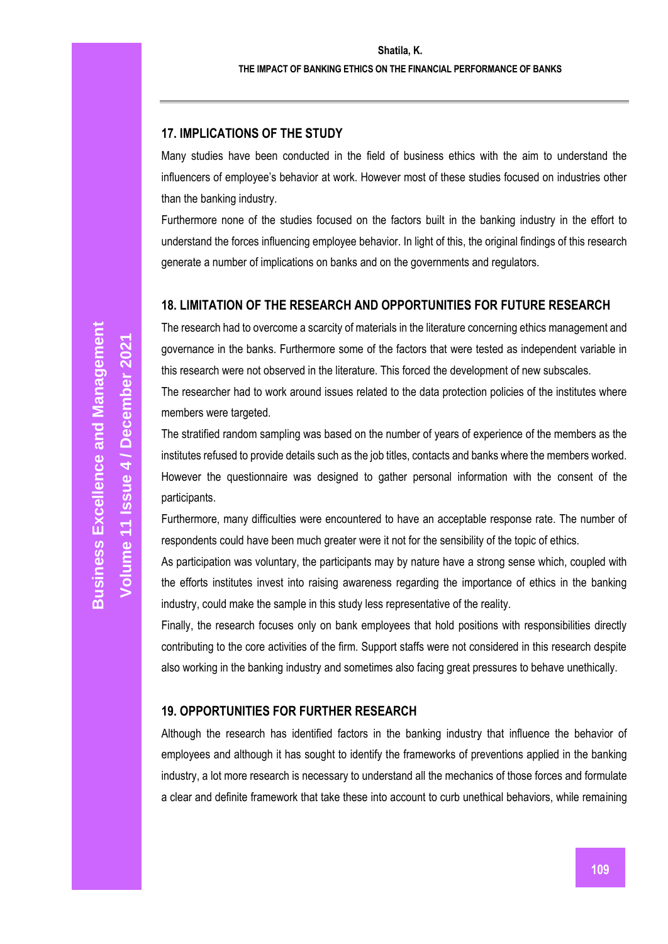## **17. IMPLICATIONS OF THE STUDY**

Many studies have been conducted in the field of business ethics with the aim to understand the influencers of employee's behavior at work. However most of these studies focused on industries other than the banking industry.

Furthermore none of the studies focused on the factors built in the banking industry in the effort to understand the forces influencing employee behavior. In light of this, the original findings of this research generate a number of implications on banks and on the governments and regulators.

#### **18. LIMITATION OF THE RESEARCH AND OPPORTUNITIES FOR FUTURE RESEARCH**

The research had to overcome a scarcity of materials in the literature concerning ethics management and governance in the banks. Furthermore some of the factors that were tested as independent variable in this research were not observed in the literature. This forced the development of new subscales.

The researcher had to work around issues related to the data protection policies of the institutes where members were targeted.

The stratified random sampling was based on the number of years of experience of the members as the institutes refused to provide details such as the job titles, contacts and banks where the members worked. However the questionnaire was designed to gather personal information with the consent of the participants.

Furthermore, many difficulties were encountered to have an acceptable response rate. The number of respondents could have been much greater were it not for the sensibility of the topic of ethics.

As participation was voluntary, the participants may by nature have a strong sense which, coupled with the efforts institutes invest into raising awareness regarding the importance of ethics in the banking industry, could make the sample in this study less representative of the reality.

Finally, the research focuses only on bank employees that hold positions with responsibilities directly contributing to the core activities of the firm. Support staffs were not considered in this research despite also working in the banking industry and sometimes also facing great pressures to behave unethically.

## **19. OPPORTUNITIES FOR FURTHER RESEARCH**

Although the research has identified factors in the banking industry that influence the behavior of employees and although it has sought to identify the frameworks of preventions applied in the banking industry, a lot more research is necessary to understand all the mechanics of those forces and formulate a clear and definite framework that take these into account to curb unethical behaviors, while remaining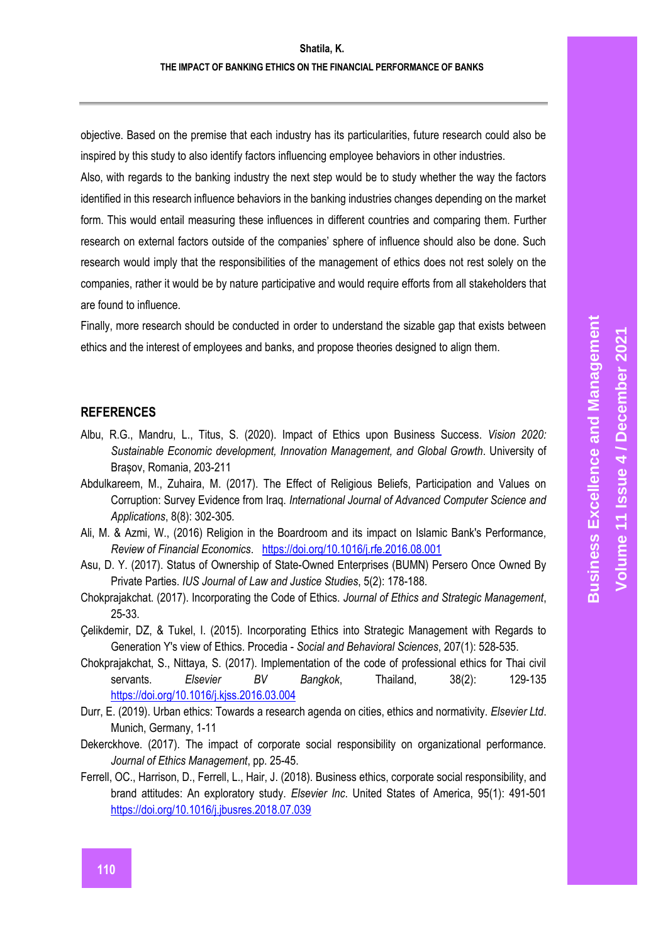objective. Based on the premise that each industry has its particularities, future research could also be inspired by this study to also identify factors influencing employee behaviors in other industries.

Also, with regards to the banking industry the next step would be to study whether the way the factors identified in this research influence behaviors in the banking industries changes depending on the market form. This would entail measuring these influences in different countries and comparing them. Further research on external factors outside of the companies' sphere of influence should also be done. Such research would imply that the responsibilities of the management of ethics does not rest solely on the companies, rather it would be by nature participative and would require efforts from all stakeholders that are found to influence.

Finally, more research should be conducted in order to understand the sizable gap that exists between ethics and the interest of employees and banks, and propose theories designed to align them.

#### **REFERENCES**

- Albu, R.G., Mandru, L., Titus, S. (2020). Impact of Ethics upon Business Success. *Vision 2020: Sustainable Economic development, Innovation Management, and Global Growth*. University of Brașov, Romania, 203-211
- Abdulkareem, M., Zuhaira, M. (2017). The Effect of Religious Beliefs, Participation and Values on Corruption: Survey Evidence from Iraq. *International Journal of Advanced Computer Science and Applications*, 8(8): 302-305*.*
- Ali, M. & Azmi, W., (2016) Religion in the Boardroom and its impact on Islamic Bank's Performance*, Review of Financial Economics*. <https://doi.org/10.1016/j.rfe.2016.08.001>
- Asu, D. Y. (2017). Status of Ownership of State-Owned Enterprises (BUMN) Persero Once Owned By Private Parties. *IUS Journal of Law and Justice Studies*, 5(2): 178-188.
- Chokprajakchat. (2017). Incorporating the Code of Ethics. *Journal of Ethics and Strategic Management*, 25-33.
- Çelikdemir, DZ, & Tukel, I. (2015). Incorporating Ethics into Strategic Management with Regards to Generation Y's view of Ethics. Procedia - *Social and Behavioral Sciences*, 207(1): 528-535.
- Chokprajakchat, S., Nittaya, S. (2017). Implementation of the code of professional ethics for Thai civil servants. *Elsevier BV Bangkok*, Thailand, 38(2): 129-135 <https://doi.org/10.1016/j.kjss.2016.03.004>
- Durr, E. (2019). Urban ethics: Towards a research agenda on cities, ethics and normativity. *Elsevier Ltd*. Munich, Germany, 1-11
- Dekerckhove. (2017). The impact of corporate social responsibility on organizational performance. *Journal of Ethics Management*, pp. 25-45.
- Ferrell, OC., Harrison, D., Ferrell, L., Hair, J. (2018). Business ethics, corporate social responsibility, and brand attitudes: An exploratory study. *Elsevier Inc*. United States of America, 95(1): 491-501 <https://doi.org/10.1016/j.jbusres.2018.07.039>